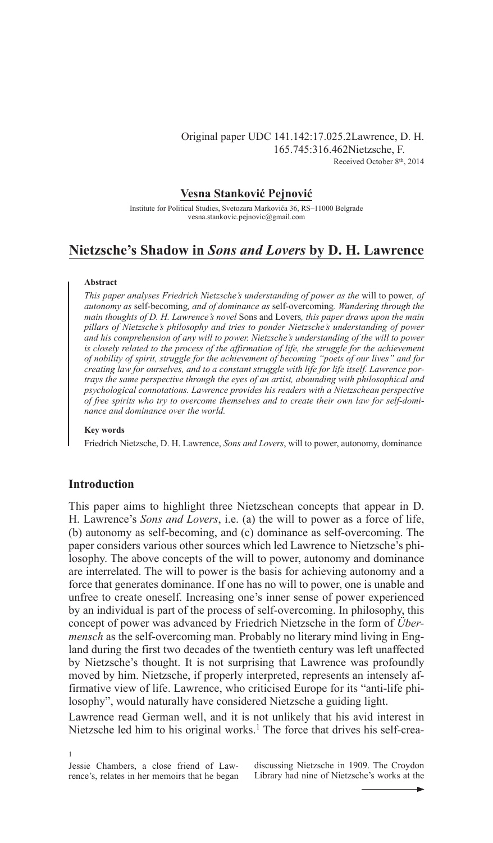# Original paper UDC 141.142:17.025.2Lawrence, D. H. 165.745:316.462Nietzsche, F. Received October 8th, 2014

# **Vesna Stanković Pejnović**

Institute for Political Studies, Svetozara Markovića 36, RS–11000 Belgrade vesna.stankovic.pejnovic@gmail.com

# **Nietzsche's Shadow in** *Sons and Lovers* **by D. H. Lawrence**

### **Abstract**

*This paper analyses Friedrich Nietzsche's understanding of power as the* will to power*, of autonomy as* self-becoming*, and of dominance as* self-overcoming*. Wandering through the main thoughts of D. H. Lawrence's novel* Sons and Lovers*, this paper draws upon the main pillars of Nietzsche's philosophy and tries to ponder Nietzsche's understanding of power and his comprehension of any will to power. Nietzsche's understanding of the will to power is closely related to the process of the affirmation of life, the struggle for the achievement of nobility of spirit, struggle for the achievement of becoming "poets of our lives" and for creating law for ourselves, and to a constant struggle with life for life itself. Lawrence portrays the same perspective through the eyes of an artist, abounding with philosophical and psychological connotations. Lawrence provides his readers with a Nietzschean perspective of free spirits who try to overcome themselves and to create their own law for self-dominance and dominance over the world.*

#### **Key words**

Friedrich Nietzsche, D. H. Lawrence, *Sons and Lovers*, will to power, autonomy, dominance

## **Introduction**

This paper aims to highlight three Nietzschean concepts that appear in D. H. Lawrence's *Sons and Lovers*, i.e. (a) the will to power as a force of life, (b) autonomy as self-becoming, and (c) dominance as self-overcoming. The paper considers various other sources which led Lawrence to Nietzsche's philosophy. The above concepts of the will to power, autonomy and dominance are interrelated. The will to power is the basis for achieving autonomy and a force that generates dominance. If one has no will to power, one is unable and unfree to create oneself. Increasing one's inner sense of power experienced by an individual is part of the process of self-overcoming. In philosophy, this concept of power was advanced by Friedrich Nietzsche in the form of *Übermensch* as the self-overcoming man. Probably no literary mind living in England during the first two decades of the twentieth century was left unaffected by Nietzsche's thought. It is not surprising that Lawrence was profoundly moved by him. Nietzsche, if properly interpreted, represents an intensely affirmative view of life. Lawrence, who criticised Europe for its "anti-life philosophy", would naturally have considered Nietzsche a guiding light.

Lawrence read German well, and it is not unlikely that his avid interest in Nietzsche led him to his original works.<sup>1</sup> The force that drives his self-crea-

discussing Nietzsche in 1909. The Croydon Library had nine of Nietzsche's works at the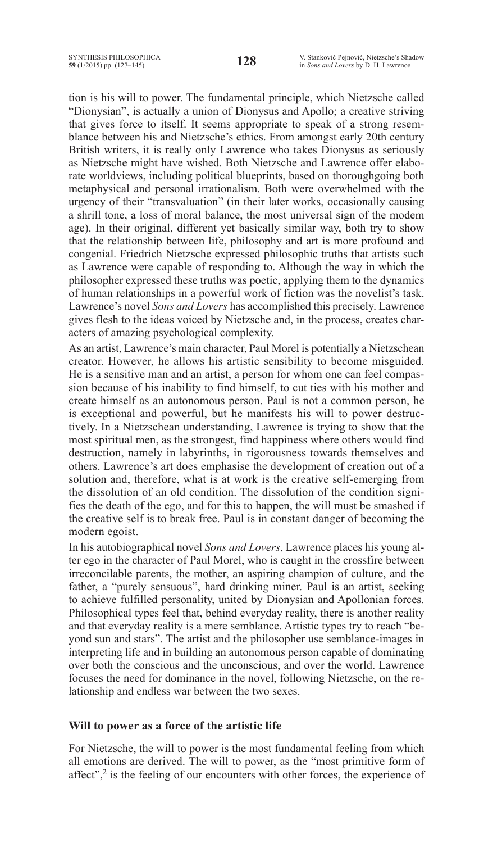tion is his will to power. The fundamental principle, which Nietzsche called "Dionysian", is actually a union of Dionysus and Apollo; a creative striving that gives force to itself. It seems appropriate to speak of a strong resemblance between his and Nietzsche's ethics. From amongst early 20th century British writers, it is really only Lawrence who takes Dionysus as seriously as Nietzsche might have wished. Both Nietzsche and Lawrence offer elaborate worldviews, including political blueprints, based on thoroughgoing both metaphysical and personal irrationalism. Both were overwhelmed with the urgency of their "transvaluation" (in their later works, occasionally causing a shrill tone, a loss of moral balance, the most universal sign of the modem age). In their original, different yet basically similar way, both try to show that the relationship between life, philosophy and art is more profound and congenial. Friedrich Nietzsche expressed philosophic truths that artists such as Lawrence were capable of responding to. Although the way in which the philosopher expressed these truths was poetic, applying them to the dynamics of human relationships in a powerful work of fiction was the novelist's task. Lawrence's novel *Sons and Lovers* has accomplished this precisely. Lawrence gives flesh to the ideas voiced by Nietzsche and, in the process, creates characters of amazing psychological complexity.

As an artist, Lawrence's main character, Paul Morel is potentially a Nietzschean creator. However, he allows his artistic sensibility to become misguided. He is a sensitive man and an artist, a person for whom one can feel compassion because of his inability to find himself, to cut ties with his mother and create himself as an autonomous person. Paul is not a common person, he is exceptional and powerful, but he manifests his will to power destructively. In a Nietzschean understanding, Lawrence is trying to show that the most spiritual men, as the strongest, find happiness where others would find destruction, namely in labyrinths, in rigorousness towards themselves and others. Lawrence's art does emphasise the development of creation out of a solution and, therefore, what is at work is the creative self-emerging from the dissolution of an old condition. The dissolution of the condition signifies the death of the ego, and for this to happen, the will must be smashed if the creative self is to break free. Paul is in constant danger of becoming the modern egoist.

In his autobiographical novel *Sons and Lovers*, Lawrence places his young alter ego in the character of Paul Morel, who is caught in the crossfire between irreconcilable parents, the mother, an aspiring champion of culture, and the father, a "purely sensuous", hard drinking miner. Paul is an artist, seeking to achieve fulfilled personality, united by Dionysian and Apollonian forces. Philosophical types feel that, behind everyday reality, there is another reality and that everyday reality is a mere semblance. Artistic types try to reach "beyond sun and stars". The artist and the philosopher use semblance-images in interpreting life and in building an autonomous person capable of dominating over both the conscious and the unconscious, and over the world. Lawrence focuses the need for dominance in the novel, following Nietzsche, on the relationship and endless war between the two sexes.

# **Will to power as a force of the artistic life**

For Nietzsche, the will to power is the most fundamental feeling from which all emotions are derived. The will to power, as the "most primitive form of affect", $2$  is the feeling of our encounters with other forces, the experience of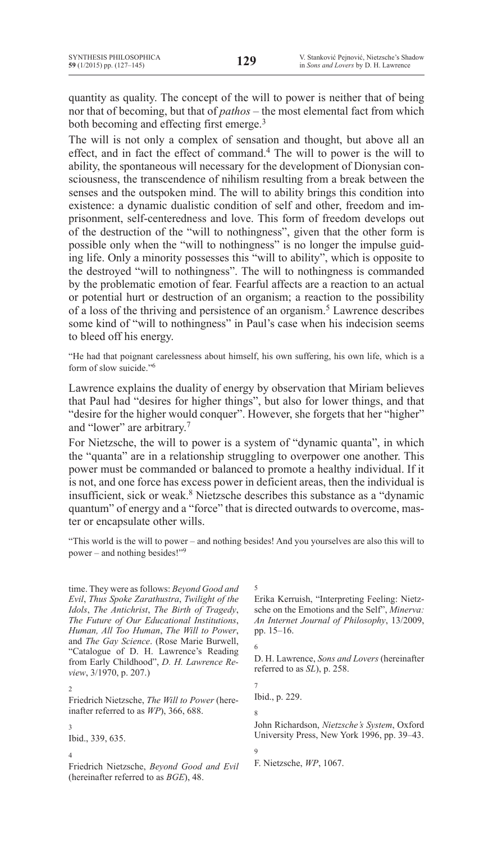quantity as quality. The concept of the will to power is neither that of being nor that of becoming, but that of *pathos* – the most elemental fact from which both becoming and effecting first emerge.<sup>3</sup>

The will is not only a complex of sensation and thought, but above all an effect, and in fact the effect of command.4 The will to power is the will to ability, the spontaneous will necessary for the development of Dionysian consciousness, the transcendence of nihilism resulting from a break between the senses and the outspoken mind. The will to ability brings this condition into existence: a dynamic dualistic condition of self and other, freedom and imprisonment, self-centeredness and love. This form of freedom develops out of the destruction of the "will to nothingness", given that the other form is possible only when the "will to nothingness" is no longer the impulse guiding life. Only a minority possesses this "will to ability", which is opposite to the destroyed "will to nothingness". The will to nothingness is commanded by the problematic emotion of fear. Fearful affects are a reaction to an actual or potential hurt or destruction of an organism; a reaction to the possibility of a loss of the thriving and persistence of an organism.<sup>5</sup> Lawrence describes some kind of "will to nothingness" in Paul's case when his indecision seems to bleed off his energy.

"He had that poignant carelessness about himself, his own suffering, his own life, which is a form of slow suicide."<sup>6</sup>

Lawrence explains the duality of energy by observation that Miriam believes that Paul had "desires for higher things", but also for lower things, and that "desire for the higher would conquer". However, she forgets that her "higher" and "lower" are arbitrary.<sup>7</sup>

For Nietzsche, the will to power is a system of "dynamic quanta", in which the "quanta" are in a relationship struggling to overpower one another. This power must be commanded or balanced to promote a healthy individual. If it is not, and one force has excess power in deficient areas, then the individual is insufficient, sick or weak.<sup>8</sup> Nietzsche describes this substance as a "dynamic quantum" of energy and a "force" that is directed outwards to overcome, master or encapsulate other wills.

"This world is the will to power – and nothing besides! And you yourselves are also this will to power – and nothing besides!"9

time. They were as follows: **Beyond Good and** *Evil*, *Thus Spoke Zarathustra*, *Twilight of the Idols*, *The Antichrist*, *The Birth of Tragedy*, *The Future of Our Educational Institutions*, *Human, All Too Human*, *The Will to Power*, and *The Gay Science*. (Rose Marie Burwell, "Catalogue of D. H. Lawrence's Reading from Early Childhood", *D. H. Lawrence Review*, 3/1970, p. 207.)

2

Friedrich Nietzsche, *The Will to Power* (hereinafter referred to as *WP*), 366, 688.

3

Ibid., 339, 635.

4

Friedrich Nietzsche, *Beyond Good and Evil*  (hereinafter referred to as *BGE*), 48.

5

Erika Kerruish, "Interpreting Feeling: Nietzsche on the Emotions and the Self", *Minerva: An Internet Journal of Philosophy*, 13/2009, pp. 15–16.

D. H. Lawrence, *Sons and Lovers* (hereinafter referred to as *SL*), p. 258.

7 Ibid., p. 229.

8

9

6

John Richardson, *Nietzsche's System*, Oxford University Press, New York 1996, pp. 39–43.

F. Nietzsche, *WP*, 1067.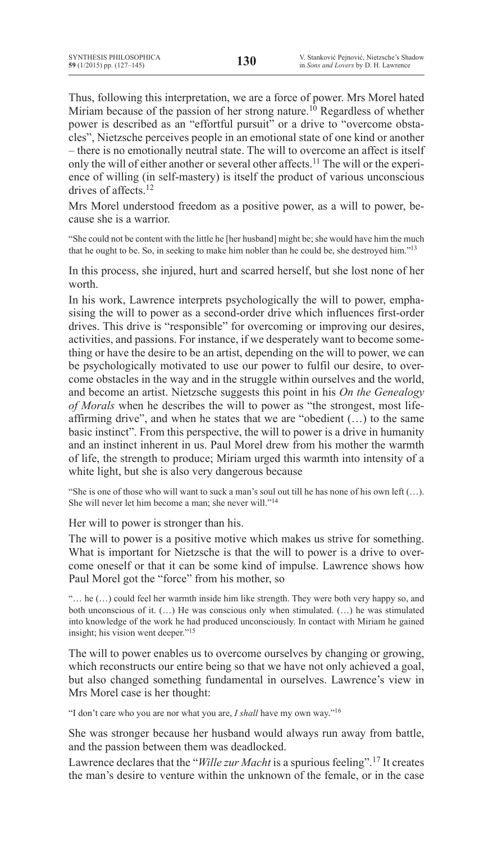Thus, following this interpretation, we are a force of power. Mrs Morel hated Miriam because of the passion of her strong nature.<sup>10</sup> Regardless of whether power is described as an "effortful pursuit" or a drive to "overcome obstacles", Nietzsche perceives people in an emotional state of one kind or another – there is no emotionally neutral state. The will to overcome an affect is itself only the will of either another or several other affects.<sup>11</sup> The will or the experience of willing (in self-mastery) is itself the product of various unconscious drives of affects<sup>12</sup>

Mrs Morel understood freedom as a positive power, as a will to power, because she is a warrior.

"She could not be content with the little he [her husband] might be; she would have him the much that he ought to be. So, in seeking to make him nobler than he could be, she destroyed him."13

In this process, she injured, hurt and scarred herself, but she lost none of her worth.

In his work, Lawrence interprets psychologically the will to power, emphasising the will to power as a second-order drive which influences first-order drives. This drive is "responsible" for overcoming or improving our desires, activities, and passions. For instance, if we desperately want to become something or have the desire to be an artist, depending on the will to power, we can be psychologically motivated to use our power to fulfil our desire, to overcome obstacles in the way and in the struggle within ourselves and the world, and become an artist. Nietzsche suggests this point in his *On the Genealogy of Morals* when he describes the will to power as "the strongest, most lifeaffirming drive", and when he states that we are "obedient (…) to the same basic instinct". From this perspective, the will to power is a drive in humanity and an instinct inherent in us. Paul Morel drew from his mother the warmth of life, the strength to produce; Miriam urged this warmth into intensity of a white light, but she is also very dangerous because

"She is one of those who will want to suck a man's soul out till he has none of his own left  $(...)$ . She will never let him become a man; she never will."14

Her will to power is stronger than his.

The will to power is a positive motive which makes us strive for something. What is important for Nietzsche is that the will to power is a drive to overcome oneself or that it can be some kind of impulse. Lawrence shows how Paul Morel got the "force" from his mother, so

"… he (…) could feel her warmth inside him like strength. They were both very happy so, and both unconscious of it. (…) He was conscious only when stimulated. (…) he was stimulated into knowledge of the work he had produced unconsciously. In contact with Miriam he gained insight; his vision went deeper."<sup>15</sup>

The will to power enables us to overcome ourselves by changing or growing, which reconstructs our entire being so that we have not only achieved a goal, but also changed something fundamental in ourselves. Lawrence's view in Mrs Morel case is her thought:

"I don't care who you are nor what you are, *I shall* have my own way."16

She was stronger because her husband would always run away from battle, and the passion between them was deadlocked.

Lawrence declares that the "*Wille zur Macht* is a spurious feeling".<sup>17</sup> It creates the man's desire to venture within the unknown of the female, or in the case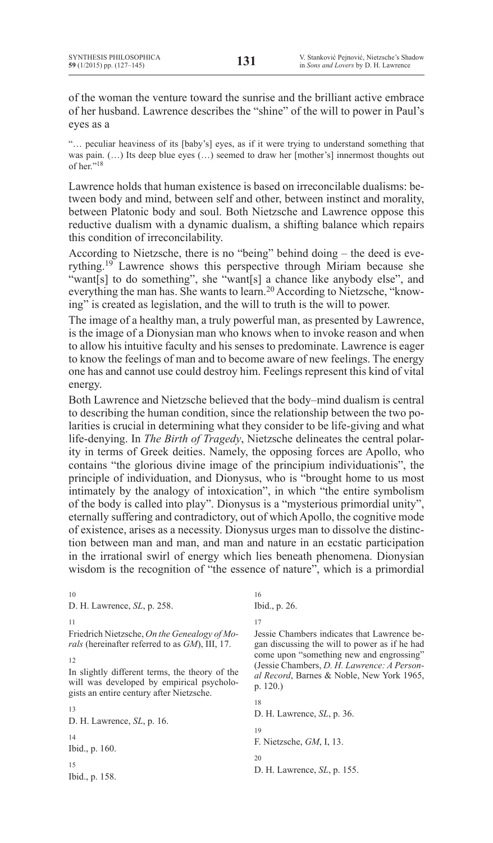of the woman the venture toward the sunrise and the brilliant active embrace of her husband. Lawrence describes the "shine" of the will to power in Paul's eyes as a

"… peculiar heaviness of its [baby's] eyes, as if it were trying to understand something that was pain.  $(...)$  Its deep blue eyes  $(...)$  seemed to draw her [mother's] innermost thoughts out of her."18

Lawrence holds that human existence is based on irreconcilable dualisms: between body and mind, between self and other, between instinct and morality, between Platonic body and soul. Both Nietzsche and Lawrence oppose this reductive dualism with a dynamic dualism, a shifting balance which repairs this condition of irreconcilability.

According to Nietzsche, there is no "being" behind doing – the deed is everything.<sup>19</sup> Lawrence shows this perspective through Miriam because she "want[s] to do something", she "want[s] a chance like anybody else", and everything the man has. She wants to learn.<sup>20</sup> According to Nietzsche, "knowing" is created as legislation, and the will to truth is the will to power.

The image of a healthy man, a truly powerful man, as presented by Lawrence, is the image of a Dionysian man who knows when to invoke reason and when to allow his intuitive faculty and his senses to predominate. Lawrence is eager to know the feelings of man and to become aware of new feelings. The energy one has and cannot use could destroy him. Feelings represent this kind of vital energy.

Both Lawrence and Nietzsche believed that the body–mind dualism is central to describing the human condition, since the relationship between the two polarities is crucial in determining what they consider to be life-giving and what life-denying. In *The Birth of Tragedy*, Nietzsche delineates the central polarity in terms of Greek deities. Namely, the opposing forces are Apollo, who contains "the glorious divine image of the principium individuationis", the principle of individuation, and Dionysus, who is "brought home to us most intimately by the analogy of intoxication", in which "the entire symbolism of the body is called into play". Dionysus is a "mysterious primordial unity", eternally suffering and contradictory, out of which Apollo, the cognitive mode of existence, arises as a necessity. Dionysus urges man to dissolve the distinction between man and man, and man and nature in an ecstatic participation in the irrational swirl of energy which lies beneath phenomena. Dionysian wisdom is the recognition of "the essence of nature", which is a primordial

10 D. H. Lawrence, *SL*, p. 258. 11 Friedrich Nietzsche, *On the Genealogy of Morals* (hereinafter referred to as *GM*), III, 17. 12 In slightly different terms, the theory of the will was developed by empirical psychologists an entire century after Nietzsche. 13 D. H. Lawrence, *SL*, p. 16. 14 Ibid., p. 160. 15 Ibid., p. 158. 16 Ibid., p. 26. 17 p. 120.) 18 D. H. Lawrence, *SL*, p. 36. 19  $20$ 

Jessie Chambers indicates that Lawrence began discussing the will to power as if he had come upon "something new and engrossing" (Jessie Chambers, *D. H. Lawrence: A Personal Record*, Barnes & Noble, New York 1965,

F. Nietzsche, *GM*, I, 13.

D. H. Lawrence, *SL*, p. 155.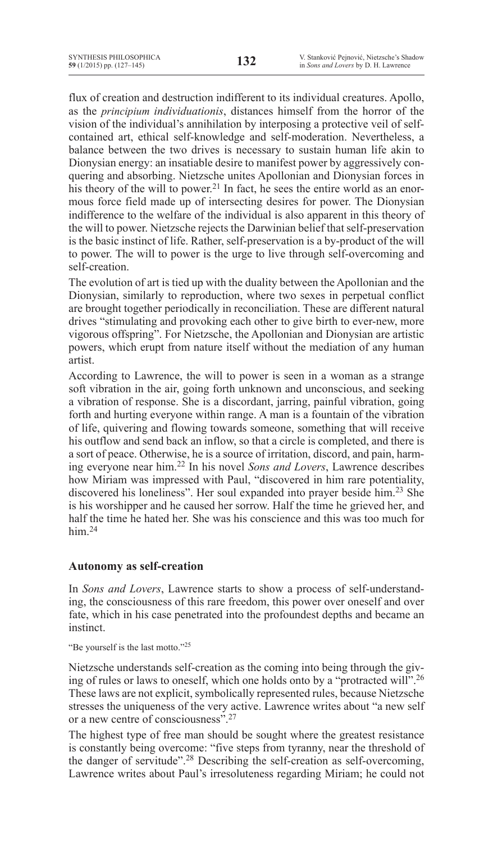flux of creation and destruction indifferent to its individual creatures. Apollo, as the *principium individuationis*, distances himself from the horror of the vision of the individual's annihilation by interposing a protective veil of selfcontained art, ethical self-knowledge and self-moderation. Nevertheless, a balance between the two drives is necessary to sustain human life akin to Dionysian energy: an insatiable desire to manifest power by aggressively conquering and absorbing. Nietzsche unites Apollonian and Dionysian forces in his theory of the will to power.<sup>21</sup> In fact, he sees the entire world as an enormous force field made up of intersecting desires for power. The Dionysian indifference to the welfare of the individual is also apparent in this theory of the will to power. Nietzsche rejects the Darwinian belief that self-preservation is the basic instinct of life. Rather, self-preservation is a by-product of the will to power. The will to power is the urge to live through self-overcoming and self-creation.

The evolution of art is tied up with the duality between the Apollonian and the Dionysian, similarly to reproduction, where two sexes in perpetual conflict are brought together periodically in reconciliation. These are different natural drives "stimulating and provoking each other to give birth to ever-new, more vigorous offspring". For Nietzsche, the Apollonian and Dionysian are artistic powers, which erupt from nature itself without the mediation of any human artist.

According to Lawrence, the will to power is seen in a woman as a strange soft vibration in the air, going forth unknown and unconscious, and seeking a vibration of response. She is a discordant, jarring, painful vibration, going forth and hurting everyone within range. A man is a fountain of the vibration of life, quivering and flowing towards someone, something that will receive his outflow and send back an inflow, so that a circle is completed, and there is a sort of peace. Otherwise, he is a source of irritation, discord, and pain, harming everyone near him.<sup>22</sup> In his novel *Sons and Lovers*, Lawrence describes how Miriam was impressed with Paul, "discovered in him rare potentiality, discovered his loneliness". Her soul expanded into prayer beside him.<sup>23</sup> She is his worshipper and he caused her sorrow. Half the time he grieved her, and half the time he hated her. She was his conscience and this was too much for him $^{24}$ 

# **Autonomy as self-creation**

In *Sons and Lovers*, Lawrence starts to show a process of self-understanding, the consciousness of this rare freedom, this power over oneself and over fate, which in his case penetrated into the profoundest depths and became an instinct.

"Be yourself is the last motto."<sup>25</sup>

Nietzsche understands self-creation as the coming into being through the giving of rules or laws to oneself, which one holds onto by a "protracted will".26 These laws are not explicit, symbolically represented rules, because Nietzsche stresses the uniqueness of the very active. Lawrence writes about "a new self or a new centre of consciousness".27

The highest type of free man should be sought where the greatest resistance is constantly being overcome: "five steps from tyranny, near the threshold of the danger of servitude".<sup>28</sup> Describing the self-creation as self-overcoming, Lawrence writes about Paul's irresoluteness regarding Miriam; he could not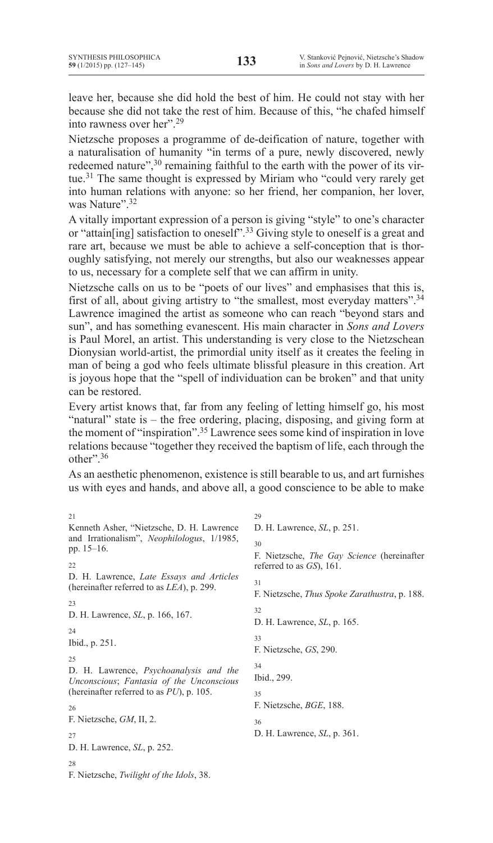leave her, because she did hold the best of him. He could not stay with her because she did not take the rest of him. Because of this, "he chafed himself into rawness over her".<sup>29</sup>

Nietzsche proposes a programme of de-deification of nature, together with a naturalisation of humanity "in terms of a pure, newly discovered, newly redeemed nature",<sup>30</sup> remaining faithful to the earth with the power of its virtue.31 The same thought is expressed by Miriam who "could very rarely get into human relations with anyone: so her friend, her companion, her lover, was Nature".<sup>32</sup>

A vitally important expression of a person is giving "style" to one's character or "attain[ing] satisfaction to oneself".<sup>33</sup> Giving style to oneself is a great and rare art, because we must be able to achieve a self-conception that is thoroughly satisfying, not merely our strengths, but also our weaknesses appear to us, necessary for a complete self that we can affirm in unity.

Nietzsche calls on us to be "poets of our lives" and emphasises that this is, first of all, about giving artistry to "the smallest, most everyday matters".34 Lawrence imagined the artist as someone who can reach "beyond stars and sun", and has something evanescent. His main character in *Sons and Lovers* is Paul Morel, an artist. This understanding is very close to the Nietzschean Dionysian world-artist, the primordial unity itself as it creates the feeling in man of being a god who feels ultimate blissful pleasure in this creation. Art is joyous hope that the "spell of individuation can be broken" and that unity can be restored.

Every artist knows that, far from any feeling of letting himself go, his most "natural" state is – the free ordering, placing, disposing, and giving form at the moment of "inspiration".35 Lawrence sees some kind of inspiration in love relations because "together they received the baptism of life, each through the other"<sup>36</sup>

As an aesthetic phenomenon, existence is still bearable to us, and art furnishes us with eyes and hands, and above all, a good conscience to be able to make

21 Kenneth Asher, "Nietzsche, D. H. Lawrence and Irrationalism", *Neophilologus*, 1/1985, pp. 15–16. 22 D. H. Lawrence, *Late Essays and Articles* (hereinafter referred to as *LEA*), p. 299. 23 D. H. Lawrence, *SL*, p. 166, 167. 24 Ibid., p. 251.  $25$ D. H. Lawrence, *Psychoanalysis and the Unconscious*; *Fantasia of the Unconscious*  (hereinafter referred to as *PU*), p. 105. 26 F. Nietzsche, *GM*, II, 2.  $27$ D. H. Lawrence, *SL*, p. 252. 28 F. Nietzsche, *Twilight of the Idols*, 38.  $29$ D. H. Lawrence, *SL*, p. 251. 30 F. Nietzsche, *The Gay Science* (hereinafter referred to as *GS*), 161. 31 F. Nietzsche, *Thus Spoke Zarathustra*, p. 188.  $32$ D. H. Lawrence, *SL*, p. 165. 33 F. Nietzsche, *GS*, 290. 34 Ibid., 299. 35 F. Nietzsche, *BGE*, 188. 36 D. H. Lawrence, *SL*, p. 361.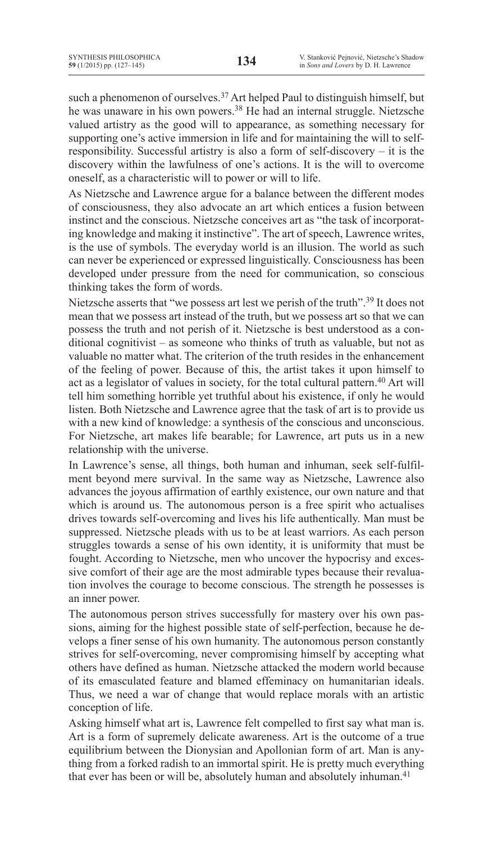such a phenomenon of ourselves.<sup>37</sup> Art helped Paul to distinguish himself, but he was unaware in his own powers.<sup>38</sup> He had an internal struggle. Nietzsche valued artistry as the good will to appearance, as something necessary for supporting one's active immersion in life and for maintaining the will to selfresponsibility. Successful artistry is also a form of self-discovery – it is the discovery within the lawfulness of one's actions. It is the will to overcome oneself, as a characteristic will to power or will to life.

As Nietzsche and Lawrence argue for a balance between the different modes of consciousness, they also advocate an art which entices a fusion between instinct and the conscious. Nietzsche conceives art as "the task of incorporating knowledge and making it instinctive". The art of speech, Lawrence writes, is the use of symbols. The everyday world is an illusion. The world as such can never be experienced or expressed linguistically. Consciousness has been developed under pressure from the need for communication, so conscious thinking takes the form of words.

Nietzsche asserts that "we possess art lest we perish of the truth".<sup>39</sup> It does not mean that we possess art instead of the truth, but we possess art so that we can possess the truth and not perish of it. Nietzsche is best understood as a conditional cognitivist – as someone who thinks of truth as valuable, but not as valuable no matter what. The criterion of the truth resides in the enhancement of the feeling of power. Because of this, the artist takes it upon himself to act as a legislator of values in society, for the total cultural pattern.<sup>40</sup> Art will tell him something horrible yet truthful about his existence, if only he would listen. Both Nietzsche and Lawrence agree that the task of art is to provide us with a new kind of knowledge: a synthesis of the conscious and unconscious. For Nietzsche, art makes life bearable; for Lawrence, art puts us in a new relationship with the universe.

In Lawrence's sense, all things, both human and inhuman, seek self-fulfilment beyond mere survival. In the same way as Nietzsche, Lawrence also advances the joyous affirmation of earthly existence, our own nature and that which is around us. The autonomous person is a free spirit who actualises drives towards self-overcoming and lives his life authentically. Man must be suppressed. Nietzsche pleads with us to be at least warriors. As each person struggles towards a sense of his own identity, it is uniformity that must be fought. According to Nietzsche, men who uncover the hypocrisy and excessive comfort of their age are the most admirable types because their revaluation involves the courage to become conscious. The strength he possesses is an inner power.

The autonomous person strives successfully for mastery over his own passions, aiming for the highest possible state of self-perfection, because he develops a finer sense of his own humanity. The autonomous person constantly strives for self-overcoming, never compromising himself by accepting what others have defined as human. Nietzsche attacked the modern world because of its emasculated feature and blamed effeminacy on humanitarian ideals. Thus, we need a war of change that would replace morals with an artistic conception of life.

Asking himself what art is, Lawrence felt compelled to first say what man is. Art is a form of supremely delicate awareness. Art is the outcome of a true equilibrium between the Dionysian and Apollonian form of art. Man is anything from a forked radish to an immortal spirit. He is pretty much everything that ever has been or will be, absolutely human and absolutely inhuman.<sup>41</sup>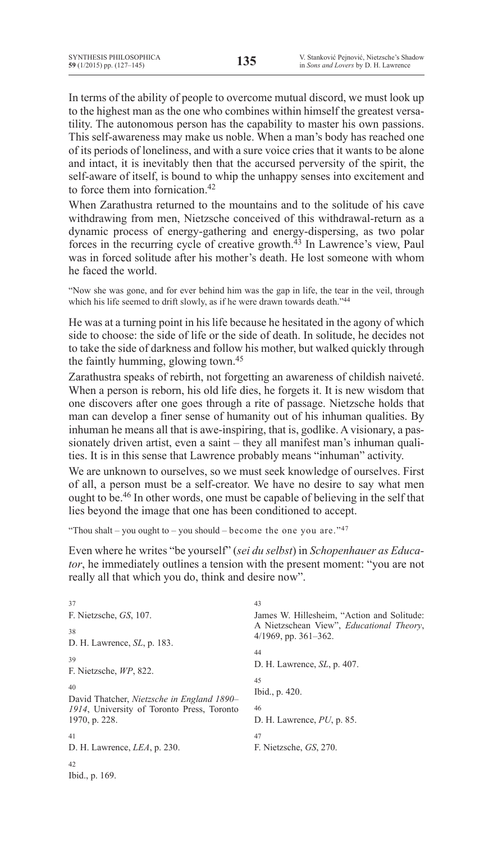In terms of the ability of people to overcome mutual discord, we must look up to the highest man as the one who combines within himself the greatest versatility. The autonomous person has the capability to master his own passions. This self-awareness may make us noble. When a man's body has reached one of its periods of loneliness, and with a sure voice cries that it wants to be alone and intact, it is inevitably then that the accursed perversity of the spirit, the self-aware of itself, is bound to whip the unhappy senses into excitement and to force them into fornication <sup>42</sup>

When Zarathustra returned to the mountains and to the solitude of his cave withdrawing from men, Nietzsche conceived of this withdrawal-return as a dynamic process of energy-gathering and energy-dispersing, as two polar forces in the recurring cycle of creative growth.43 In Lawrence's view, Paul was in forced solitude after his mother's death. He lost someone with whom he faced the world.

"Now she was gone, and for ever behind him was the gap in life, the tear in the veil, through which his life seemed to drift slowly, as if he were drawn towards death."<sup>44</sup>

He was at a turning point in his life because he hesitated in the agony of which side to choose: the side of life or the side of death. In solitude, he decides not to take the side of darkness and follow his mother, but walked quickly through the faintly humming, glowing town.45

Zarathustra speaks of rebirth, not forgetting an awareness of childish naiveté. When a person is reborn, his old life dies, he forgets it. It is new wisdom that one discovers after one goes through a rite of passage. Nietzsche holds that man can develop a finer sense of humanity out of his inhuman qualities. By inhuman he means all that is awe-inspiring, that is, godlike. A visionary, a passionately driven artist, even a saint – they all manifest man's inhuman qualities. It is in this sense that Lawrence probably means "inhuman" activity.

We are unknown to ourselves, so we must seek knowledge of ourselves. First of all, a person must be a self-creator. We have no desire to say what men ought to be.46 In other words, one must be capable of believing in the self that lies beyond the image that one has been conditioned to accept.

"Thou shalt – you ought to – you should – become the one you are." $47$ 

Even where he writes "be yourself" (*sei du selbst*) in *Schopenhauer as Educator*, he immediately outlines a tension with the present moment: "you are not really all that which you do, think and desire now".

| 37                                         | 43                                               |
|--------------------------------------------|--------------------------------------------------|
| F. Nietzsche, GS, 107.                     | James W. Hillesheim, "Action and Solitude:       |
| 38                                         | A Nietzschean View", <i>Educational Theory</i> , |
| D. H. Lawrence, <i>SL</i> , p. 183.        | $4/1969$ , pp. 361–362.                          |
| 39                                         | 44                                               |
| F. Nietzsche, WP, 822.                     | D. H. Lawrence, <i>SL</i> , p. 407.              |
| 40                                         | 45                                               |
| David Thatcher, Nietzsche in England 1890– | Ibid., p. 420.                                   |
| 1914, University of Toronto Press, Toronto | 46                                               |
| 1970, p. 228.                              | D. H. Lawrence, $PU$ , p. 85.                    |
| 41                                         | 47                                               |
| D. H. Lawrence, <i>LEA</i> , p. 230.       | F. Nietzsche, GS, 270.                           |
| 42<br>Ibid., p. 169.                       |                                                  |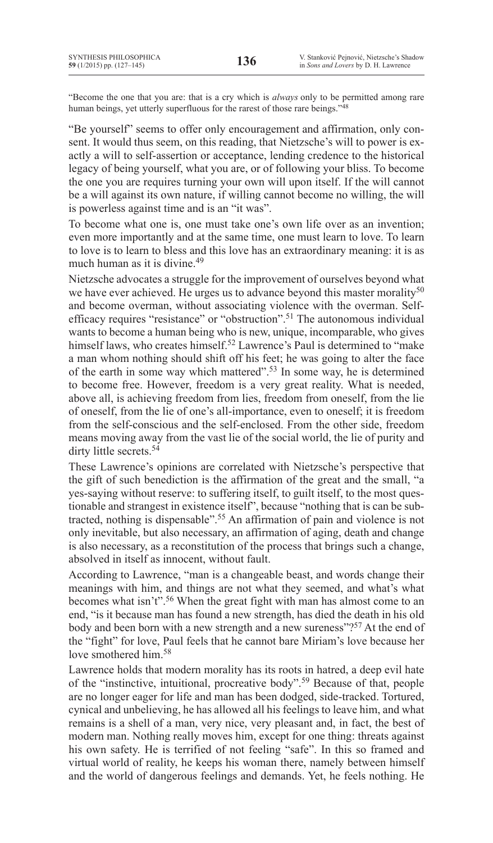"Become the one that you are: that is a cry which is *always* only to be permitted among rare human beings, yet utterly superfluous for the rarest of those rare beings."<sup>48</sup>

"Be yourself" seems to offer only encouragement and affirmation, only consent. It would thus seem, on this reading, that Nietzsche's will to power is exactly a will to self-assertion or acceptance, lending credence to the historical legacy of being yourself, what you are, or of following your bliss. To become the one you are requires turning your own will upon itself. If the will cannot be a will against its own nature, if willing cannot become no willing, the will is powerless against time and is an "it was".

To become what one is, one must take one's own life over as an invention; even more importantly and at the same time, one must learn to love. To learn to love is to learn to bless and this love has an extraordinary meaning: it is as much human as it is divine.<sup>49</sup>

Nietzsche advocates a struggle for the improvement of ourselves beyond what we have ever achieved. He urges us to advance beyond this master morality<sup>50</sup> and become overman, without associating violence with the overman. Selfefficacy requires "resistance" or "obstruction".51 The autonomous individual wants to become a human being who is new, unique, incomparable, who gives himself laws, who creates himself.<sup>52</sup> Lawrence's Paul is determined to "make a man whom nothing should shift off his feet; he was going to alter the face of the earth in some way which mattered".<sup>53</sup> In some way, he is determined to become free. However, freedom is a very great reality. What is needed, above all, is achieving freedom from lies, freedom from oneself, from the lie of oneself, from the lie of one's all-importance, even to oneself; it is freedom from the self-conscious and the self-enclosed. From the other side, freedom means moving away from the vast lie of the social world, the lie of purity and dirty little secrets.<sup>54</sup>

These Lawrence's opinions are correlated with Nietzsche's perspective that the gift of such benediction is the affirmation of the great and the small, "a yes-saying without reserve: to suffering itself, to guilt itself, to the most questionable and strangest in existence itself", because "nothing that is can be subtracted, nothing is dispensable".55 An affirmation of pain and violence is not only inevitable, but also necessary, an affirmation of aging, death and change is also necessary, as a reconstitution of the process that brings such a change, absolved in itself as innocent, without fault.

According to Lawrence, "man is a changeable beast, and words change their meanings with him, and things are not what they seemed, and what's what becomes what isn't".<sup>56</sup> When the great fight with man has almost come to an end, "is it because man has found a new strength, has died the death in his old body and been born with a new strength and a new sureness"?<sup>57</sup> At the end of the "fight" for love, Paul feels that he cannot bare Miriam's love because her love smothered him.<sup>58</sup>

Lawrence holds that modern morality has its roots in hatred, a deep evil hate of the "instinctive, intuitional, procreative body".<sup>59</sup> Because of that, people are no longer eager for life and man has been dodged, side-tracked. Tortured, cynical and unbelieving, he has allowed all his feelings to leave him, and what remains is a shell of a man, very nice, very pleasant and, in fact, the best of modern man. Nothing really moves him, except for one thing: threats against his own safety. He is terrified of not feeling "safe". In this so framed and virtual world of reality, he keeps his woman there, namely between himself and the world of dangerous feelings and demands. Yet, he feels nothing. He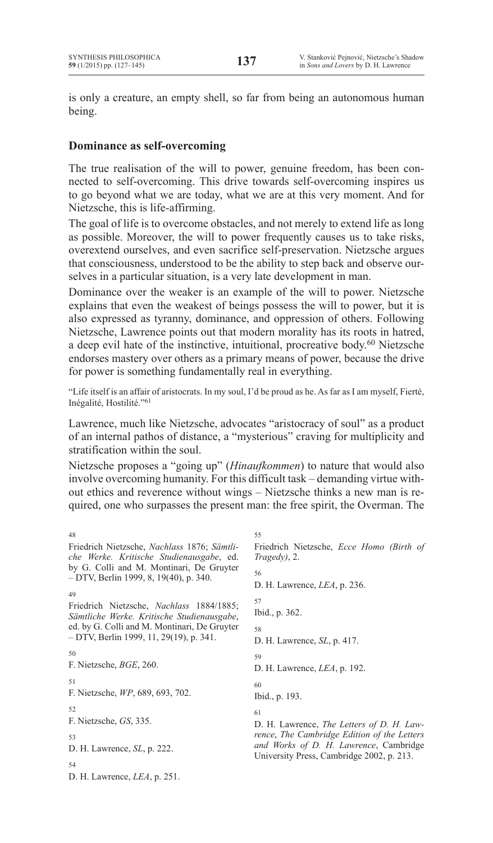is only a creature, an empty shell, so far from being an autonomous human being.

# **Dominance as self-overcoming**

The true realisation of the will to power, genuine freedom, has been connected to self-overcoming. This drive towards self-overcoming inspires us to go beyond what we are today, what we are at this very moment. And for Nietzsche, this is life-affirming.

The goal of life is to overcome obstacles, and not merely to extend life as long as possible. Moreover, the will to power frequently causes us to take risks, overextend ourselves, and even sacrifice self-preservation. Nietzsche argues that consciousness, understood to be the ability to step back and observe ourselves in a particular situation, is a very late development in man.

Dominance over the weaker is an example of the will to power. Nietzsche explains that even the weakest of beings possess the will to power, but it is also expressed as tyranny, dominance, and oppression of others. Following Nietzsche, Lawrence points out that modern morality has its roots in hatred, a deep evil hate of the instinctive, intuitional, procreative body.<sup>60</sup> Nietzsche endorses mastery over others as a primary means of power, because the drive for power is something fundamentally real in everything.

"Life itself is an affair of aristocrats. In my soul, I'd be proud as he. As far as I am myself, Fierté, Inégalité, Hostilité."<sup>61</sup>

Lawrence, much like Nietzsche, advocates "aristocracy of soul" as a product of an internal pathos of distance, a "mysterious" craving for multiplicity and stratification within the soul.

Nietzsche proposes a "going up" (*Hinaufkommen*) to nature that would also involve overcoming humanity. For this difficult task – demanding virtue without ethics and reverence without wings – Nietzsche thinks a new man is required, one who surpasses the present man: the free spirit, the Overman. The

| 48                                                                                      | 55                                                                                  |
|-----------------------------------------------------------------------------------------|-------------------------------------------------------------------------------------|
| Friedrich Nietzsche, Nachlass 1876; Sämtli-<br>che Werke. Kritische Studienausgabe, ed. | Friedrich Nietzsche, Ecce Homo (Birth of<br>$Tragedy$ , 2.                          |
| by G. Colli and M. Montinari, De Gruyter<br>- DTV, Berlin 1999, 8, 19(40), p. 340.      | 56<br>D. H. Lawrence, $LEA$ , p. 236.                                               |
| 49                                                                                      |                                                                                     |
| Friedrich Nietzsche, Nachlass 1884/1885;<br>Sämtliche Werke. Kritische Studienausgabe,  | 57<br>Ibid., p. 362.                                                                |
| ed. by G. Colli and M. Montinari, De Gruyter<br>- DTV, Berlin 1999, 11, 29(19), p. 341. | 58<br>D. H. Lawrence, <i>SL</i> , p. 417.                                           |
| 50                                                                                      | 59                                                                                  |
| F. Nietzsche, <i>BGE</i> , 260.                                                         | D. H. Lawrence, <i>LEA</i> , p. 192.                                                |
| 51<br>F. Nietzsche, WP, 689, 693, 702.                                                  | 60<br>Ibid., p. 193.                                                                |
| 52                                                                                      | 61                                                                                  |
| F. Nietzsche, GS, 335.                                                                  | D. H. Lawrence, <i>The Letters of D. H. Law-</i>                                    |
| 53                                                                                      | rence, The Cambridge Edition of the Letters                                         |
| D. H. Lawrence, <i>SL</i> , p. 222.                                                     | and Works of D. H. Lawrence, Cambridge<br>University Press, Cambridge 2002, p. 213. |
| 54                                                                                      |                                                                                     |
| D. H. Lawrence, $LEA$ , p. 251.                                                         |                                                                                     |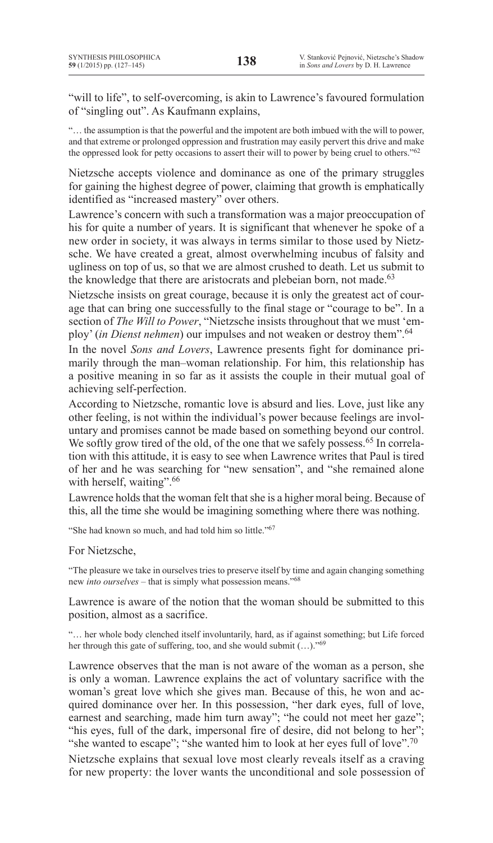"will to life", to self-overcoming, is akin to Lawrence's favoured formulation of "singling out". As Kaufmann explains,

"… the assumption is that the powerful and the impotent are both imbued with the will to power, and that extreme or prolonged oppression and frustration may easily pervert this drive and make the oppressed look for petty occasions to assert their will to power by being cruel to others."62

Nietzsche accepts violence and dominance as one of the primary struggles for gaining the highest degree of power, claiming that growth is emphatically identified as "increased mastery" over others.

Lawrence's concern with such a transformation was a major preoccupation of his for quite a number of years. It is significant that whenever he spoke of a new order in society, it was always in terms similar to those used by Nietzsche. We have created a great, almost overwhelming incubus of falsity and ugliness on top of us, so that we are almost crushed to death. Let us submit to the knowledge that there are aristocrats and plebeian born, not made.<sup>63</sup>

Nietzsche insists on great courage, because it is only the greatest act of courage that can bring one successfully to the final stage or "courage to be". In a section of *The Will to Power*, "Nietzsche insists throughout that we must 'employ' (*in Dienst nehmen*) our impulses and not weaken or destroy them".64

In the novel *Sons and Lovers*, Lawrence presents fight for dominance primarily through the man–woman relationship. For him, this relationship has a positive meaning in so far as it assists the couple in their mutual goal of achieving self-perfection.

According to Nietzsche, romantic love is absurd and lies. Love, just like any other feeling, is not within the individual's power because feelings are involuntary and promises cannot be made based on something beyond our control. We softly grow tired of the old, of the one that we safely possess.<sup>65</sup> In correlation with this attitude, it is easy to see when Lawrence writes that Paul is tired of her and he was searching for "new sensation", and "she remained alone with herself, waiting".<sup>66</sup>

Lawrence holds that the woman felt that she is a higher moral being. Because of this, all the time she would be imagining something where there was nothing.

"She had known so much, and had told him so little."<sup>67</sup>

For Nietzsche,

"The pleasure we take in ourselves tries to preserve itself by time and again changing something new *into ourselves* – that is simply what possession means."68

Lawrence is aware of the notion that the woman should be submitted to this position, almost as a sacrifice.

"… her whole body clenched itself involuntarily, hard, as if against something; but Life forced her through this gate of suffering, too, and she would submit (...)."<sup>69</sup>

Lawrence observes that the man is not aware of the woman as a person, she is only a woman. Lawrence explains the act of voluntary sacrifice with the woman's great love which she gives man. Because of this, he won and acquired dominance over her. In this possession, "her dark eyes, full of love, earnest and searching, made him turn away"; "he could not meet her gaze"; "his eyes, full of the dark, impersonal fire of desire, did not belong to her"; "she wanted to escape"; "she wanted him to look at her eyes full of love".<sup>70</sup>

Nietzsche explains that sexual love most clearly reveals itself as a craving for new property: the lover wants the unconditional and sole possession of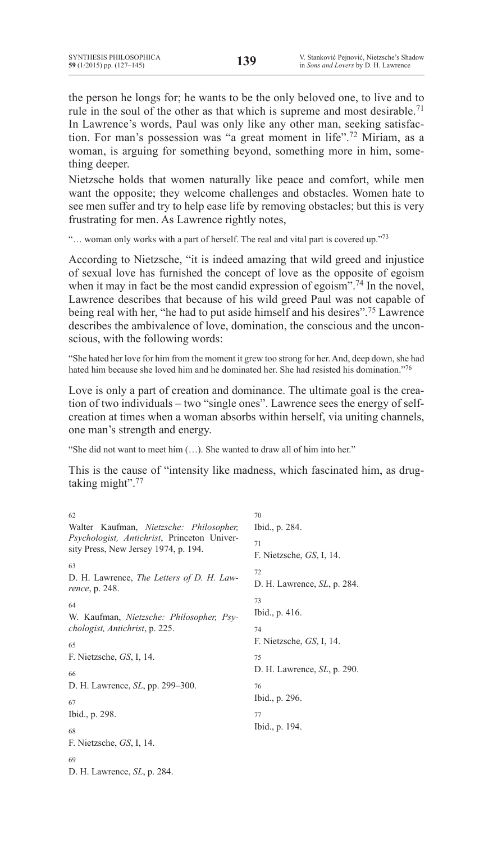the person he longs for; he wants to be the only beloved one, to live and to rule in the soul of the other as that which is supreme and most desirable.<sup>71</sup> In Lawrence's words, Paul was only like any other man, seeking satisfaction. For man's possession was "a great moment in life".<sup>72</sup> Miriam, as a woman, is arguing for something beyond, something more in him, something deeper.

Nietzsche holds that women naturally like peace and comfort, while men want the opposite; they welcome challenges and obstacles. Women hate to see men suffer and try to help ease life by removing obstacles; but this is very frustrating for men. As Lawrence rightly notes,

"... woman only works with a part of herself. The real and vital part is covered up."<sup>73</sup>

According to Nietzsche, "it is indeed amazing that wild greed and injustice of sexual love has furnished the concept of love as the opposite of egoism when it may in fact be the most candid expression of egoism".<sup>74</sup> In the novel, Lawrence describes that because of his wild greed Paul was not capable of being real with her, "he had to put aside himself and his desires".<sup>75</sup> Lawrence describes the ambivalence of love, domination, the conscious and the unconscious, with the following words:

"She hated her love for him from the moment it grew too strong for her.And, deep down, she had hated him because she loved him and he dominated her. She had resisted his domination."76

Love is only a part of creation and dominance. The ultimate goal is the creation of two individuals – two "single ones". Lawrence sees the energy of selfcreation at times when a woman absorbs within herself, via uniting channels, one man's strength and energy.

"She did not want to meet him (…). She wanted to draw all of him into her."

This is the cause of "intensity like madness, which fascinated him, as drugtaking might".77

| 62                                                                                                                             | 70                                        |
|--------------------------------------------------------------------------------------------------------------------------------|-------------------------------------------|
| Walter Kaufman, Nietzsche: Philosopher,<br>Psychologist, Antichrist, Princeton Univer-<br>sity Press, New Jersey 1974, p. 194. | Ibid., p. 284.                            |
|                                                                                                                                | 71<br>F. Nietzsche, GS, I, 14.            |
| 63<br>D. H. Lawrence, <i>The Letters of D. H. Law-</i><br><i>rence</i> , p. 248.                                               | 72<br>D. H. Lawrence, <i>SL</i> , p. 284. |
| 64<br>W. Kaufman, Nietzsche: Philosopher, Psy-                                                                                 | 73<br>Ibid., p. 416.                      |
| <i>chologist, Antichrist, p. 225.</i><br>65                                                                                    | 74<br>F. Nietzsche, GS, I, 14.            |
| F. Nietzsche, GS, I, 14.<br>66                                                                                                 | 75<br>D. H. Lawrence, <i>SL</i> , p. 290. |
| D. H. Lawrence, <i>SL</i> , pp. 299–300.<br>67                                                                                 | 76<br>Ibid., p. 296.                      |
| Ibid., p. 298.                                                                                                                 | 77<br>Ibid., p. 194.                      |
| 68<br>F. Nietzsche, GS, I, 14.                                                                                                 |                                           |
| 69<br>D. H. Lawrence, <i>SL</i> , p. 284.                                                                                      |                                           |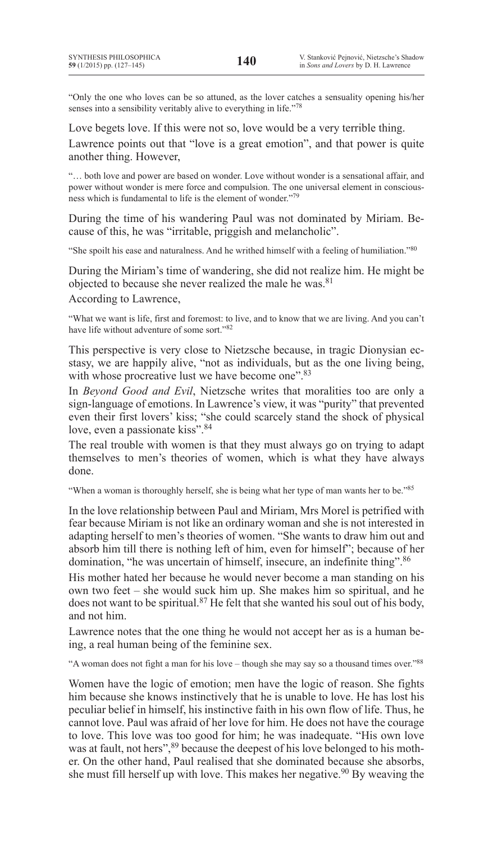"Only the one who loves can be so attuned, as the lover catches a sensuality opening his/her senses into a sensibility veritably alive to everything in life."<sup>78</sup>

Love begets love. If this were not so, love would be a very terrible thing.

Lawrence points out that "love is a great emotion", and that power is quite another thing. However,

"… both love and power are based on wonder. Love without wonder is a sensational affair, and power without wonder is mere force and compulsion. The one universal element in consciousness which is fundamental to life is the element of wonder."79

During the time of his wandering Paul was not dominated by Miriam. Because of this, he was "irritable, priggish and melancholic".

"She spoilt his ease and naturalness. And he writhed himself with a feeling of humiliation."80

During the Miriam's time of wandering, she did not realize him. He might be objected to because she never realized the male he was.81

According to Lawrence,

"What we want is life, first and foremost: to live, and to know that we are living. And you can't have life without adventure of some sort."82

This perspective is very close to Nietzsche because, in tragic Dionysian ecstasy, we are happily alive, "not as individuals, but as the one living being, with whose procreative lust we have become one".<sup>83</sup>

In *Beyond Good and Evil*, Nietzsche writes that moralities too are only a sign-language of emotions. In Lawrence's view, it was "purity" that prevented even their first lovers' kiss; "she could scarcely stand the shock of physical love, even a passionate kiss". 84

The real trouble with women is that they must always go on trying to adapt themselves to men's theories of women, which is what they have always done.

"When a woman is thoroughly herself, she is being what her type of man wants her to be."85

In the love relationship between Paul and Miriam, Mrs Morel is petrified with fear because Miriam is not like an ordinary woman and she is not interested in adapting herself to men's theories of women. "She wants to draw him out and absorb him till there is nothing left of him, even for himself"; because of her domination, "he was uncertain of himself, insecure, an indefinite thing".<sup>86</sup>

His mother hated her because he would never become a man standing on his own two feet – she would suck him up. She makes him so spiritual, and he does not want to be spiritual.<sup>87</sup> He felt that she wanted his soul out of his body, and not him.

Lawrence notes that the one thing he would not accept her as is a human being, a real human being of the feminine sex.

"A woman does not fight a man for his love – though she may say so a thousand times over."88

Women have the logic of emotion; men have the logic of reason. She fights him because she knows instinctively that he is unable to love. He has lost his peculiar belief in himself, his instinctive faith in his own flow of life. Thus, he cannot love. Paul was afraid of her love for him. He does not have the courage to love. This love was too good for him; he was inadequate. "His own love was at fault, not hers",  $89$  because the deepest of his love belonged to his mother. On the other hand, Paul realised that she dominated because she absorbs, she must fill herself up with love. This makes her negative.<sup>90</sup> By weaving the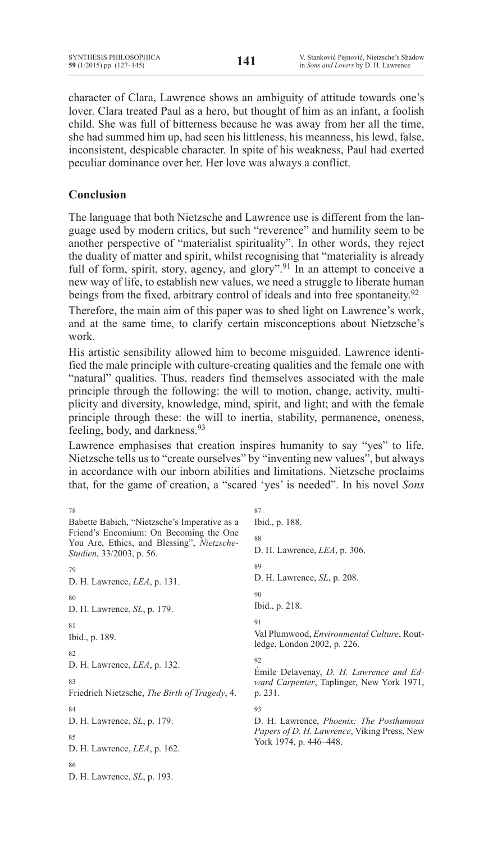character of Clara, Lawrence shows an ambiguity of attitude towards one's lover. Clara treated Paul as a hero, but thought of him as an infant, a foolish child. She was full of bitterness because he was away from her all the time, she had summed him up, had seen his littleness, his meanness, his lewd, false, inconsistent, despicable character. In spite of his weakness, Paul had exerted peculiar dominance over her. Her love was always a conflict.

# **Conclusion**

The language that both Nietzsche and Lawrence use is different from the language used by modern critics, but such "reverence" and humility seem to be another perspective of "materialist spirituality". In other words, they reject the duality of matter and spirit, whilst recognising that "materiality is already full of form, spirit, story, agency, and glory".<sup>91</sup> In an attempt to conceive a new way of life, to establish new values, we need a struggle to liberate human beings from the fixed, arbitrary control of ideals and into free spontaneity.<sup>92</sup>

Therefore, the main aim of this paper was to shed light on Lawrence's work, and at the same time, to clarify certain misconceptions about Nietzsche's work.

His artistic sensibility allowed him to become misguided. Lawrence identified the male principle with culture-creating qualities and the female one with "natural" qualities. Thus, readers find themselves associated with the male principle through the following: the will to motion, change, activity, multiplicity and diversity, knowledge, mind, spirit, and light; and with the female principle through these: the will to inertia, stability, permanence, oneness, feeling, body, and darkness.<sup>93</sup>

Lawrence emphasises that creation inspires humanity to say "yes" to life. Nietzsche tells us to "create ourselves" by "inventing new values", but always in accordance with our inborn abilities and limitations. Nietzsche proclaims that, for the game of creation, a "scared 'yes' is needed". In his novel *Sons* 

| 78                                                                                                                                                                       | 87                                                                                            |  |
|--------------------------------------------------------------------------------------------------------------------------------------------------------------------------|-----------------------------------------------------------------------------------------------|--|
| Babette Babich, "Nietzsche's Imperative as a<br>Friend's Encomium: On Becoming the One<br>You Are, Ethics, and Blessing", Nietzsche-<br><i>Studien</i> , 33/2003, p. 56. | Ibid., p. 188.                                                                                |  |
|                                                                                                                                                                          | 88                                                                                            |  |
|                                                                                                                                                                          | D. H. Lawrence, LEA, p. 306.                                                                  |  |
| 79                                                                                                                                                                       | 89                                                                                            |  |
| D. H. Lawrence, $LEA$ , p. 131.                                                                                                                                          | D. H. Lawrence, <i>SL</i> , p. 208.                                                           |  |
| 80                                                                                                                                                                       | 90                                                                                            |  |
| D. H. Lawrence, SL, p. 179.                                                                                                                                              | Ibid., p. 218.                                                                                |  |
| 81                                                                                                                                                                       | 91                                                                                            |  |
| Ibid., p. 189.                                                                                                                                                           | Val Plumwood, <i>Environmental Culture</i> , Rout-<br>ledge, London 2002, p. 226.             |  |
| 82                                                                                                                                                                       |                                                                                               |  |
| D. H. Lawrence, <i>LEA</i> , p. 132.                                                                                                                                     | 92<br>Emile Delavenay, D. H. Lawrence and Ed-                                                 |  |
| 83                                                                                                                                                                       | ward Carpenter, Taplinger, New York 1971,                                                     |  |
| Friedrich Nietzsche, The Birth of Tragedy, 4.                                                                                                                            | p. 231.                                                                                       |  |
| 84                                                                                                                                                                       | 93                                                                                            |  |
| D. H. Lawrence, <i>SL</i> , p. 179.                                                                                                                                      | D. H. Lawrence, <i>Phoenix: The Posthumous</i><br>Papers of D. H. Lawrence, Viking Press, New |  |
| 85                                                                                                                                                                       |                                                                                               |  |
| D. H. Lawrence, $LEA$ , p. 162.                                                                                                                                          | York 1974, p. 446–448.                                                                        |  |
| 86                                                                                                                                                                       |                                                                                               |  |
| D. H. Lawrence, <i>SL</i> , p. 193.                                                                                                                                      |                                                                                               |  |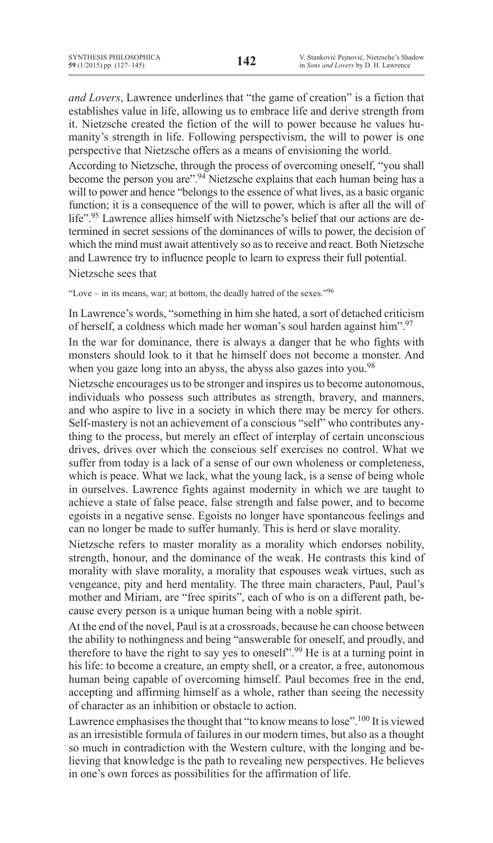*and Lovers*, Lawrence underlines that "the game of creation" is a fiction that establishes value in life, allowing us to embrace life and derive strength from it. Nietzsche created the fiction of the will to power because he values humanity's strength in life. Following perspectivism, the will to power is one perspective that Nietzsche offers as a means of envisioning the world.

According to Nietzsche, through the process of overcoming oneself, "you shall become the person you are".<sup>94</sup> Nietzsche explains that each human being has a will to power and hence "belongs to the essence of what lives, as a basic organic function; it is a consequence of the will to power, which is after all the will of life".<sup>95</sup> Lawrence allies himself with Nietzsche's belief that our actions are determined in secret sessions of the dominances of wills to power, the decision of which the mind must await attentively so as to receive and react. Both Nietzsche and Lawrence try to influence people to learn to express their full potential. Nietzsche sees that

"Love – in its means, war; at bottom, the deadly hatred of the sexes."96

In Lawrence's words, "something in him she hated, a sort of detached criticism of herself, a coldness which made her woman's soul harden against him".97

In the war for dominance, there is always a danger that he who fights with monsters should look to it that he himself does not become a monster. And when you gaze long into an abyss, the abyss also gazes into you.<sup>98</sup>

Nietzsche encourages usto be stronger and inspires usto become autonomous, individuals who possess such attributes as strength, bravery, and manners, and who aspire to live in a society in which there may be mercy for others. Self-mastery is not an achievement of a conscious "self" who contributes anything to the process, but merely an effect of interplay of certain unconscious drives, drives over which the conscious self exercises no control. What we suffer from today is a lack of a sense of our own wholeness or completeness, which is peace. What we lack, what the young lack, is a sense of being whole in ourselves. Lawrence fights against modernity in which we are taught to achieve a state of false peace, false strength and false power, and to become egoists in a negative sense. Egoists no longer have spontaneous feelings and can no longer be made to suffer humanly. This is herd or slave morality.

Nietzsche refers to master morality as a morality which endorses nobility, strength, honour, and the dominance of the weak. He contrasts this kind of morality with slave morality, a morality that espouses weak virtues, such as vengeance, pity and herd mentality. The three main characters, Paul, Paul's mother and Miriam, are "free spirits", each of who is on a different path, because every person is a unique human being with a noble spirit.

At the end of the novel, Paul is at a crossroads, because he can choose between the ability to nothingness and being "answerable for oneself, and proudly, and therefore to have the right to say yes to oneself".<sup>99</sup> He is at a turning point in his life: to become a creature, an empty shell, or a creator, a free, autonomous human being capable of overcoming himself. Paul becomes free in the end, accepting and affirming himself as a whole, rather than seeing the necessity of character as an inhibition or obstacle to action.

Lawrence emphasises the thought that "to know means to lose".<sup>100</sup> It is viewed as an irresistible formula of failures in our modern times, but also as a thought so much in contradiction with the Western culture, with the longing and believing that knowledge is the path to revealing new perspectives. He believes in one's own forces as possibilities for the affirmation of life.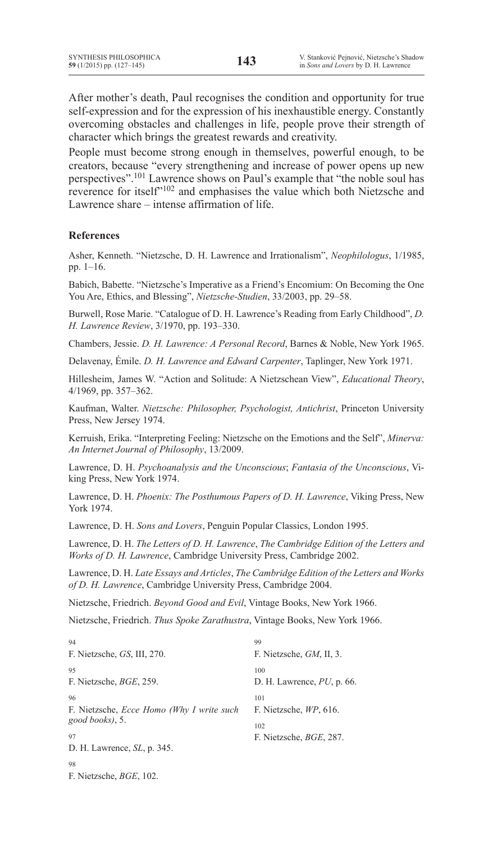After mother's death, Paul recognises the condition and opportunity for true self-expression and for the expression of his inexhaustible energy. Constantly overcoming obstacles and challenges in life, people prove their strength of character which brings the greatest rewards and creativity.

People must become strong enough in themselves, powerful enough, to be creators, because "every strengthening and increase of power opens up new perspectives".101 Lawrence shows on Paul's example that "the noble soul has reverence for itself"<sup>102</sup> and emphasises the value which both Nietzsche and Lawrence share – intense affirmation of life.

### **References**

Asher, Kenneth. "Nietzsche, D. H. Lawrence and Irrationalism", *Neophilologus*, 1/1985, pp. 1–16.

Babich, Babette. "Nietzsche's Imperative as a Friend's Encomium: On Becoming the One You Are, Ethics, and Blessing", *Nietzsche-Studien*, 33/2003, pp. 29–58.

Burwell, Rose Marie. "Catalogue of D. H. Lawrence's Reading from Early Childhood", *D. H. Lawrence Review*, 3/1970, pp. 193–330.

Chambers, Jessie. *D. H. Lawrence: A Personal Record*, Barnes & Noble, New York 1965.

Delavenay, Émile. *D. H. Lawrence and Edward Carpenter*, Taplinger, New York 1971.

Hillesheim, James W. "Action and Solitude: A Nietzschean View", *Educational Theory*, 4/1969, pp. 357–362.

Kaufman, Walter. *Nietzsche: Philosopher, Psychologist, Antichrist*, Princeton University Press, New Jersey 1974.

Kerruish, Erika. "Interpreting Feeling: Nietzsche on the Emotions and the Self", *Minerva: An Internet Journal of Philosophy*, 13/2009.

Lawrence, D. H. *Psychoanalysis and the Unconscious*; *Fantasia of the Unconscious*, Viking Press, New York 1974.

Lawrence, D. H. *Phoenix: The Posthumous Papers of D. H. Lawrence*, Viking Press, New York 1974.

Lawrence, D. H. *Sons and Lovers*, Penguin Popular Classics, London 1995.

Lawrence, D. H. *The Letters of D. H. Lawrence*, *The Cambridge Edition of the Letters and Works of D. H. Lawrence*, Cambridge University Press, Cambridge 2002.

Lawrence, D. H. *Late Essays and Articles*, *The Cambridge Edition of the Letters and Works of D. H. Lawrence*, Cambridge University Press, Cambridge 2004.

Nietzsche, Friedrich. *Beyond Good and Evil*, Vintage Books, New York 1966.

Nietzsche, Friedrich. *Thus Spoke Zarathustra*, Vintage Books, New York 1966.

| 94                                                       | 99                                     |
|----------------------------------------------------------|----------------------------------------|
| F. Nietzsche, GS, III, 270.                              | F. Nietzsche, GM, II, 3.               |
| 95<br>F. Nietzsche, <i>BGE</i> , 259.                    | 100<br>D. H. Lawrence, $PU$ , p. 66.   |
| 96<br>F. Nietzsche, <i>Ecce Homo (Why I write such</i> ) | 101<br>F. Nietzsche, WP, 616.          |
| good books), 5.<br>97                                    | 102<br>F. Nietzsche, <i>BGE</i> , 287. |
| D. H. Lawrence, $SL$ , p. 345.                           |                                        |
| 98                                                       |                                        |
| F. Nietzsche, <i>BGE</i> , 102.                          |                                        |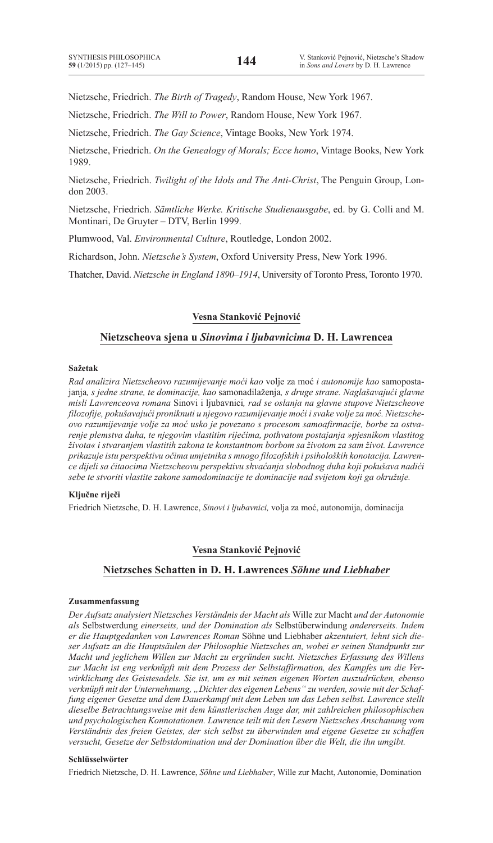Nietzsche, Friedrich. *The Birth of Tragedy*, Random House, New York 1967.

Nietzsche, Friedrich. *The Will to Power*, Random House, New York 1967.

Nietzsche, Friedrich. *The Gay Science*, Vintage Books, New York 1974.

Nietzsche, Friedrich. *On the Genealogy of Morals; Ecce homo*, Vintage Books, New York 1989.

Nietzsche, Friedrich. *Twilight of the Idols and The Anti-Christ*, The Penguin Group, London 2003.

Nietzsche, Friedrich. *Sämtliche Werke. Kritische Studienausgabe*, ed. by G. Colli and M. Montinari, De Gruyter – DTV, Berlin 1999.

Plumwood, Val. *Environmental Culture*, Routledge, London 2002.

Richardson, John. *Nietzsche's System*, Oxford University Press, New York 1996.

Thatcher, David. *Nietzsche in England 1890–1914*, University of Toronto Press, Toronto 1970.

#### **Vesna Stanković Pejnović**

#### **Nietzscheova sjena u** *Sinovima i ljubavnicima* **D. H. Lawrencea**

#### **Sažetak**

*Rad analizira Nietzscheovo razumijevanje moći kao* volje za moć *i autonomije kao* samopostajanja*, s jedne strane, te dominacije, kao* samonadilaženja*, s druge strane. Naglašavajući glavne misli Lawrenceova romana* Sinovi i ljubavnici*, rad se oslanja na glavne stupove Nietzscheove filozofije, pokušavajući proniknuti u njegovo razumijevanje moći i svake volje za moć. Nietzscheovo razumijevanje volje za moć usko je povezano s procesom samoafirmacije, borbe za ostvarenje plemstva duha, te njegovim vlastitim riječima, pothvatom postajanja »pjesnikom vlastitog života« i stvaranjem vlastitih zakona te konstantnom borbom sa životom za sam život. Lawrence prikazuje istu perspektivu očima umjetnika s mnogo filozofskih i psiholoških konotacija. Lawrence dijeli sa čitaocima Nietzscheovu perspektivu shvaćanja slobodnog duha koji pokušava nadići sebe te stvoriti vlastite zakone samodominacije te dominacije nad svijetom koji ga okružuje.*

### **Ključne riječi**

Friedrich Nietzsche, D. H. Lawrence, *Sinovi i ljubavnici,* volja za moć, autonomija, dominacija

#### **Vesna Stanković Pejnović**

### **Nietzsches Schatten in D. H. Lawrences** *Söhne und Liebhaber*

#### **Zusammenfassung**

*Der Aufsatz analysiert Nietzsches Verständnis der Macht als* Wille zur Macht *und der Autonomie als* Selbstwerdung *einerseits, und der Domination als* Selbstüberwindung *andererseits. Indem er die Hauptgedanken von Lawrences Roman* Söhne und Liebhaber *akzentuiert, lehnt sich dieser Aufsatz an die Hauptsäulen der Philosophie Nietzsches an, wobei er seinen Standpunkt zur Macht und jeglichem Willen zur Macht zu ergründen sucht. Nietzsches Erfassung des Willens zur Macht ist eng verknüpft mit dem Prozess der Selbstaffirmation, des Kampfes um die Verwirklichung des Geistesadels. Sie ist, um es mit seinen eigenen Worten auszudrücken, ebenso verknüpft mit der Unternehmung, "Dichter des eigenen Lebens" zu werden, sowie mit der Schaffung eigener Gesetze und dem Dauerkampf mit dem Leben um das Leben selbst. Lawrence stellt dieselbe Betrachtungsweise mit dem künstlerischen Auge dar, mit zahlreichen philosophischen und psychologischen Konnotationen. Lawrence teilt mit den Lesern Nietzsches Anschauung vom Verständnis des freien Geistes, der sich selbst zu überwinden und eigene Gesetze zu schaffen versucht, Gesetze der Selbstdomination und der Domination über die Welt, die ihn umgibt.*

#### **Schlüsselwörter**

Friedrich Nietzsche, D. H. Lawrence, *Söhne und Liebhaber*, Wille zur Macht, Autonomie, Domination